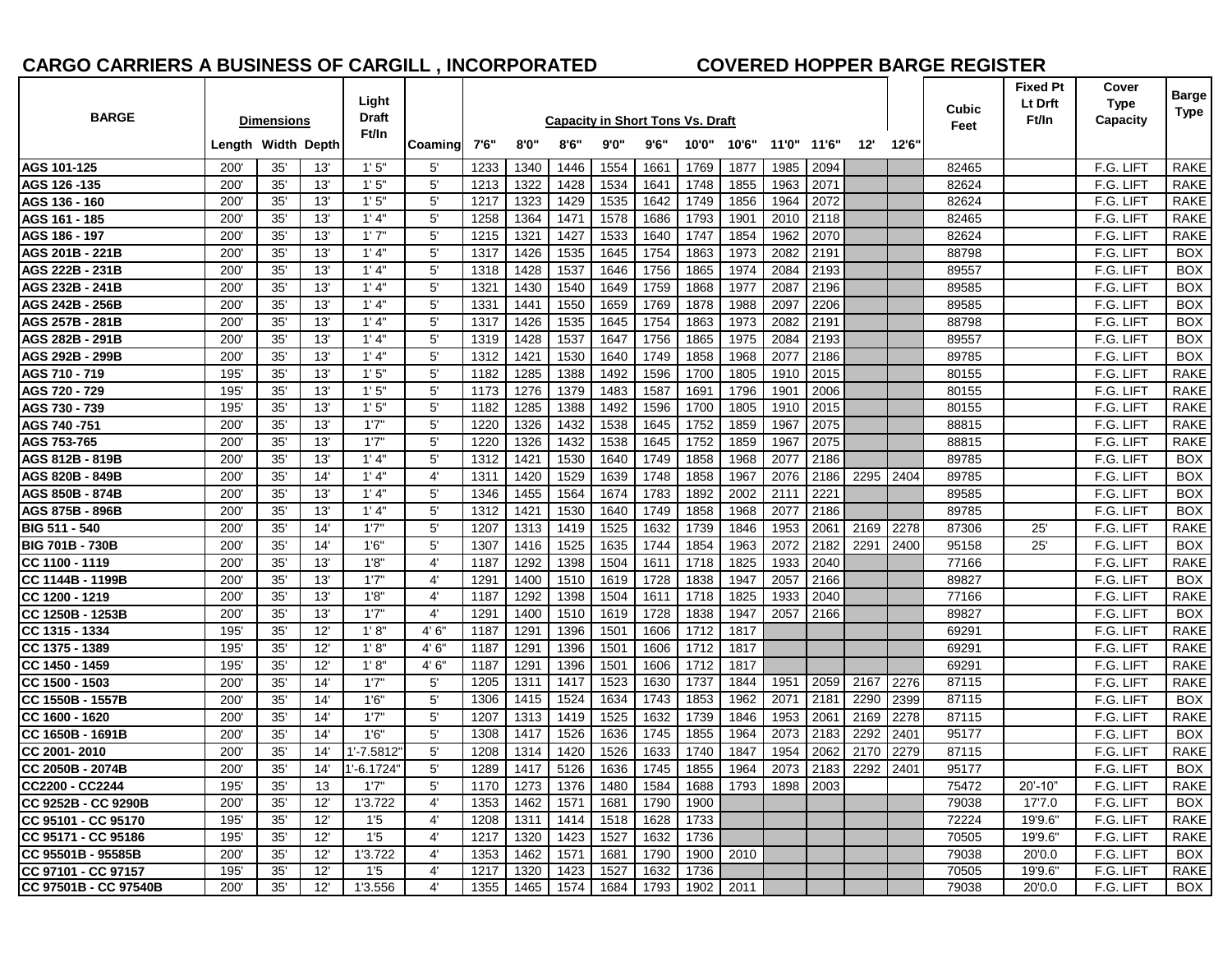# **CARGO CARRIERS A BUSINESS OF CARGILL , INCORPORATED COVERED HOPPER BARGE REGISTER**

| <b>BARGE</b>                           |                    | <b>Dimensions</b> |            | Light<br>Draft   |                             | <b>Capacity in Short Tons Vs. Draft</b> |                   |              |                                                          |                |              |              |              |              |              |              | Cubic          | <b>Fixed Pt</b><br>Lt Drft<br>Ft/In | Cover<br><b>Type</b><br>Capacity | Barge<br>Type             |
|----------------------------------------|--------------------|-------------------|------------|------------------|-----------------------------|-----------------------------------------|-------------------|--------------|----------------------------------------------------------|----------------|--------------|--------------|--------------|--------------|--------------|--------------|----------------|-------------------------------------|----------------------------------|---------------------------|
|                                        | Length Width Depth |                   |            | Ft/In            | Coaming                     | 7'6"                                    | 8'0"              | 8'6''        | 9'0"                                                     | 9'6''          | 10'0"        | 10'6"        |              | 11'0" 11'6"  | 12"          | 12'6'        | Feet           |                                     |                                  |                           |
| AGS 101-125                            | 200'               | 35'               | 13'        | 1'5''            | 5'                          | 1233                                    | 1340              | 1446         | 1554                                                     | 1661           | 1769         | 1877         | 1985         | 2094         |              |              | 82465          |                                     | F.G. LIFT                        | RAKE                      |
| AGS 126 -135                           | 200'               | 35'               | 13'        | 1'5''            | 5'                          | 1213                                    | 1322              | 1428         | 1534                                                     | 1641           | 1748         | 1855         | 1963         | 2071         |              |              | 82624          |                                     | F.G. LIFT                        | <b>RAKE</b>               |
| AGS 136 - 160                          | 200'               | 35'               | 13'        | 1'5''            | $5^{\prime}$                | 1217                                    | 1323              | 1429         | 1535                                                     | 1642           | 1749         | 1856         | 1964         | 2072         |              |              | 82624          |                                     | F.G. LIFT                        | <b>RAKE</b>               |
| AGS 161 - 185                          | 200'               | 35'               | 13'        | 1' 4"            | $5^{\circ}$                 | 1258                                    | 1364              | 1471         | 1578                                                     | 1686           | 1793         | 1901         | 2010         | 2118         |              |              | 82465          |                                     | F.G. LIFT                        | <b>RAKE</b>               |
| AGS 186 - 197                          | 200                | 35'               | 13'        | 1'7''            | $5^{\circ}$                 | 1215                                    | 1321              | 1427         | 1533                                                     | 1640           | 1747         | 1854         | 1962         | 2070         |              |              | 82624          |                                     | F.G. LIFT                        | <b>RAKE</b>               |
| AGS 201B - 221B                        | 200'               | 35'               | 13'        | 1' 4"            | 5'                          | 1317                                    | 1426              | 1535         | 1645                                                     | 1754           | 1863         | 1973         | 2082         | 2191         |              |              | 88798          |                                     | F.G. LIFT                        | <b>BOX</b>                |
| AGS 222B - 231B                        | 200'               | 35'               | 13'        | 1' 4''           | $5^{\circ}$                 | 1318                                    | 1428              | 1537         | 1646                                                     | 1756           | 1865         | 1974         | 2084         | 2193         |              |              | 89557          |                                     | F.G. LIFT                        | <b>BOX</b>                |
| AGS 232B - 241B                        | 200'               | 35'               | 13'        | 1' 4"            | $5^{\circ}$                 | 1321                                    | 1430              | 1540         | 1649                                                     | 1759           | 1868         | 1977         | 2087         | 2196         |              |              | 89585          |                                     | F.G. LIFT                        | <b>BOX</b>                |
| AGS 242B - 256B                        | 200'               | 35'               | 13'        | 1' 4"            | 5'                          | 1331                                    | 1441              | 1550         | 1659                                                     | 1769           | 1878         | 1988         | 2097         | 2206         |              |              | 89585          |                                     | F.G. LIFT                        | <b>BOX</b>                |
| AGS 257B - 281B                        | 200'               | 35'               | 13'        | 1' 4''           | $5^{\circ}$                 | 1317                                    | 1426              | 1535         | 1645                                                     | 1754           | 1863         | 1973         | 2082         | 2191         |              |              | 88798          |                                     | F.G. LIFT                        | <b>BOX</b>                |
| AGS 282B - 291B                        | 200'               | 35'               | 13'        | 1' 4"            | 5'                          | 1319                                    | 1428              | 1537         | 1647                                                     | 1756           | 1865         | 1975         | 2084         | 2193         |              |              | 89557          |                                     | F.G. LIFT                        | <b>BOX</b>                |
| AGS 292B - 299B                        | 200'               | 35'               | 13'        | 1' 4"            | 5'                          | 1312                                    | 1421              | 1530         | 1640                                                     | 1749           | 1858         | 1968         | 2077         | 2186         |              |              | 89785          |                                     | F.G. LIFT                        | <b>BOX</b>                |
| AGS 710 - 719                          | 195                | 35'               | 13'        | 1'5''            | $5^{\circ}$                 | 1182                                    | 1285              | 1388         | 1492                                                     | 1596           | 1700         | 1805         | 1910         | 2015         |              |              | 80155          |                                     | F.G. LIFT                        | <b>RAKE</b>               |
| AGS 720 - 729                          | 195'               | 35'               | 13'        | 1'5''            | 5'                          | 1173                                    | 1276              | 1379         | 1483                                                     | 1587           | 1691         | 1796         | 1901         | 2006         |              |              | 80155          |                                     | F.G. LIFT                        | RAKE                      |
| AGS 730 - 739                          | 195'               | 35'               | 13'        | 1'5''            | $5^{\circ}$                 | 1182                                    | 1285              | 1388         | 1492                                                     | 1596           | 1700         | 1805         | 1910         | 2015         |              |              | 80155          |                                     | F.G. LIFT                        | <b>RAKE</b>               |
| AGS 740 -751                           | 200'               | 35'               | 13'        | 1'7''            | $5^{\prime}$                | 1220                                    | 1326              | 1432         | 1538                                                     | 1645           | 1752         | 1859         | 1967         | 2075         |              |              | 88815          |                                     | F.G. LIFT                        | <b>RAKE</b>               |
| AGS 753-765                            | 200'               | 35'               | 13'        | 1'7''            | 5'                          | 1220                                    | 1326              | 1432         | 1538                                                     | 1645           | 1752         | 1859         | 1967         | 2075         |              |              | 88815          |                                     | F.G. LIFT                        | <b>RAKE</b>               |
| AGS 812B - 819B                        | 200                | 35'               | 13'        | 1' 4"            | $5^{\circ}$                 | 1312                                    | 1421              | 1530         | 1640                                                     | 1749           | 1858         | 1968         | 2077         | 2186         |              |              | 89785          |                                     | F.G. LIFT                        | <b>BOX</b>                |
| AGS 820B - 849B                        | 200'               | 35'               | 14'        | 1' 4"            | $4^{\circ}$                 | 1311                                    | 1420              | 1529         | 1639                                                     | 1748           | 1858         | 1967         | 2076         | 2186         | 2295         | 2404         | 89785          |                                     | F.G. LIFT                        | <b>BOX</b>                |
| AGS 850B - 874B                        | 200'               | 35'               | 13'        | 1' 4"            | $5^{\circ}$                 | 1346                                    | 1455              | 1564         | 1674                                                     | 1783           | 1892         | 2002         | 2111         | 2221         |              |              | 89585          |                                     | F.G. LIFT                        | <b>BOX</b>                |
| AGS 875B - 896B                        | 200                | 35'               | 13'        | 1' 4''           | $5^{\circ}$                 | 1312                                    | 1421              | 1530         | 1640                                                     | 1749           | 1858         | 1968         | 2077         | 2186         |              |              | 89785          |                                     | F.G. LIFT                        | <b>BOX</b>                |
| BIG 511 - 540                          | 200                | 35'               | 14'        | 1'7"             | 5'                          | 1207                                    | 1313              | 1419         | 1525                                                     | 1632           | 1739         | 1846         | 1953         | 2061         | 2169         | 2278         | 87306          | 25'                                 | F.G. LIFT                        | <b>RAKE</b>               |
| <b>BIG 701B - 730B</b>                 | 200'               | 35'               | 14'        | 1'6''            | 5'                          | 1307                                    | 1416              | 1525         | 1635                                                     | 1744           | 1854         | 1963         | 2072         | 2182         | 2291         | 2400         | 95158          | 25'                                 | F.G. LIFT                        | <b>BOX</b>                |
| CC 1100 - 1119                         | 200'               | 35'               | 13'        | 1'8"             | $4^{\circ}$                 | 1187                                    | 1292              | 1398         | 1504                                                     | 1611           | 1718         | 1825         | 1933         | 2040         |              |              | 77166          |                                     | F.G. LIFT                        | <b>RAKE</b>               |
| CC 1144B - 1199B                       | 200                | 35'               | 13'        | 1'7''            | $4^{\prime}$                | 1291                                    | 1400              | 1510         | 1619                                                     | 1728           | 1838         | 1947         | 2057         | 2166         |              |              | 89827          |                                     | F.G. LIFT                        | <b>BOX</b>                |
| CC 1200 - 1219                         | 200'               | 35'               | 13'        | 1'8"             | 4'                          | 1187                                    | 1292              | 1398         | 1504                                                     | 1611           | 1718         | 1825         | 1933         | 2040         |              |              | 77166          |                                     | F.G. LIFT                        | <b>RAKE</b>               |
| CC 1250B - 1253B                       | 200'               | 35'               | 13'        | 1'7''            | $4^{\circ}$                 | 1291                                    | 1400              | 1510         | 1619                                                     | 1728           | 1838         | 1947         | 2057         | 2166         |              |              | 89827          |                                     | F.G. LIFT                        | <b>BOX</b>                |
| CC 1315 - 1334                         | 195                | 35'               | 12'        | 1'8'             | 4'6'                        | 1187                                    | 1291              | 1396         | 1501                                                     | 1606           | 1712         | 1817         |              |              |              |              | 69291          |                                     | F.G. LIFT                        | <b>RAKE</b>               |
| CC 1375 - 1389                         | 195                | 35'               | 12'        | 1'8"             | 4'6'                        | 1187                                    | 1291              | 1396         | 1501                                                     | 1606           | 1712         | 1817         |              |              |              |              | 69291          |                                     | F.G. LIFT                        | <b>RAKE</b>               |
| CC 1450 - 1459                         | 195'               | 35'               | 12'        | 1' 8''           | 4'6'                        | 1187                                    | 1291              | 1396         | 1501                                                     | 1606           | 1712         | 1817         |              |              |              |              | 69291          |                                     | F.G. LIFT                        | <b>RAKE</b>               |
| CC 1500 - 1503                         | 200                | 35'               | 14'        | 1'7''            | 5'                          | 1205                                    | 1311              | 1417         | 1523                                                     | 1630           | 1737         | 1844         | 1951         | 2059         | 2167         | 2276         | 87115          |                                     | F.G. LIFT<br>F.G. LIFT           | <b>RAKE</b>               |
| CC 1550B - 1557B                       | 200'               | 35'               | 14'        | 1'6''            | $5^{\circ}$<br>5'           | 1306                                    | 1415              | 1524         | 1634                                                     | 1743           | 1853         | 1962         | 2071         | 2181<br>2061 | 2290         | 2399<br>2278 | 87115          |                                     | F.G. LIFT                        | <b>BOX</b><br><b>RAKE</b> |
| CC 1600 - 1620                         | 200'<br>200'       | 35'<br>35'        | 14'<br>14' | 1'7''<br>1'6''   | $5^{\circ}$                 | 1207<br>1308                            | 1313<br>1417      | 1419<br>1526 | 1525<br>1636                                             | 1632<br>1745   | 1739<br>1855 | 1846<br>1964 | 1953<br>2073 | 2183         | 2169<br>2292 | 2401         | 87115<br>95177 |                                     | F.G. LIFT                        | <b>BOX</b>                |
| CC 1650B - 1691B                       | 200'               | 35'               | 14'        | $1' - 7.5812$    | 5'                          | 1208                                    |                   | 1420         | 1526                                                     |                | 1740         | 1847         | 1954         | 2062         |              | 2279         |                |                                     | F.G. LIFT                        | <b>RAKE</b>               |
| CC 2001-2010<br>CC 2050B - 2074B       | 200'               | 35'               | 14'        |                  | 5'                          |                                         | 1314              |              |                                                          | 1633           |              |              |              | 2183         | 2170         |              | 87115          |                                     | F.G. LIFT                        |                           |
|                                        |                    |                   |            | 1'-6.1724'       |                             | 1289                                    | 1417              | 5126         | 1636                                                     | 1745           | 1855         | 1964         | 2073         |              | 2292         | 2401         | 95177          |                                     |                                  | <b>BOX</b>                |
| CC2200 - CC2244<br>CC 9252B - CC 9290B | 195'<br>200'       | 35'<br>35'        | 13<br>12'  | 1'7''<br>1'3.722 | $5^{\prime}$<br>$4^{\circ}$ | 1353                                    | 1170 1273<br>1462 | 1571         | 1376   1480   1584   1688   1793   1898   2003  <br>1681 | 1790           | 1900         |              |              |              |              |              | 75472<br>79038 | $20' - 10"$<br>17'7.0               | F.G. LIFT<br>F.G. LIFT           | RAKE<br>BOX               |
| CC 95101 - CC 95170                    | 195'               | 35'               | 12'        | 1'5              | 4'                          |                                         |                   |              | 1518                                                     |                | 1733         |              |              |              |              |              | 72224          | 19'9.6"                             | F.G. LIFT                        | RAKE                      |
| CC 95171 - CC 95186                    |                    |                   | 12'        | 1'5              | 4'                          | 1208<br>1217                            | 1311              | 1414<br>1423 | 1527                                                     | 1628<br>1632   | 1736         |              |              |              |              |              | 70505          |                                     | F.G. LIFT                        | RAKE                      |
| CC 95501B - 95585B                     | 195'<br>200'       | 35'<br>35'        | 12'        | 1'3.722          | 4'                          | 1353                                    | 1320<br>1462      | 1571         | 1681                                                     | 1790           | 1900         | 2010         |              |              |              |              | 79038          | 19'9.6"<br>20'0.0                   | F.G. LIFT                        | BOX                       |
| CC 97101 - CC 97157                    | 195'               | 35'               | 12'        | 1'5              | 4'                          | 1217                                    | 1320              | 1423         | 1527                                                     | 1632           | 1736         |              |              |              |              |              | 70505          | 19'9.6"                             | F.G. LIFT                        | RAKE                      |
| CC 97501B - CC 97540B                  | 200'               | 35'               | 12'        | 1'3.556          | 4'                          |                                         | 1355 1465         |              | 1574 1684                                                | 1793 1902 2011 |              |              |              |              |              |              | 79038          | 20'0.0                              | F.G. LIFT                        | BOX                       |
|                                        |                    |                   |            |                  |                             |                                         |                   |              |                                                          |                |              |              |              |              |              |              |                |                                     |                                  |                           |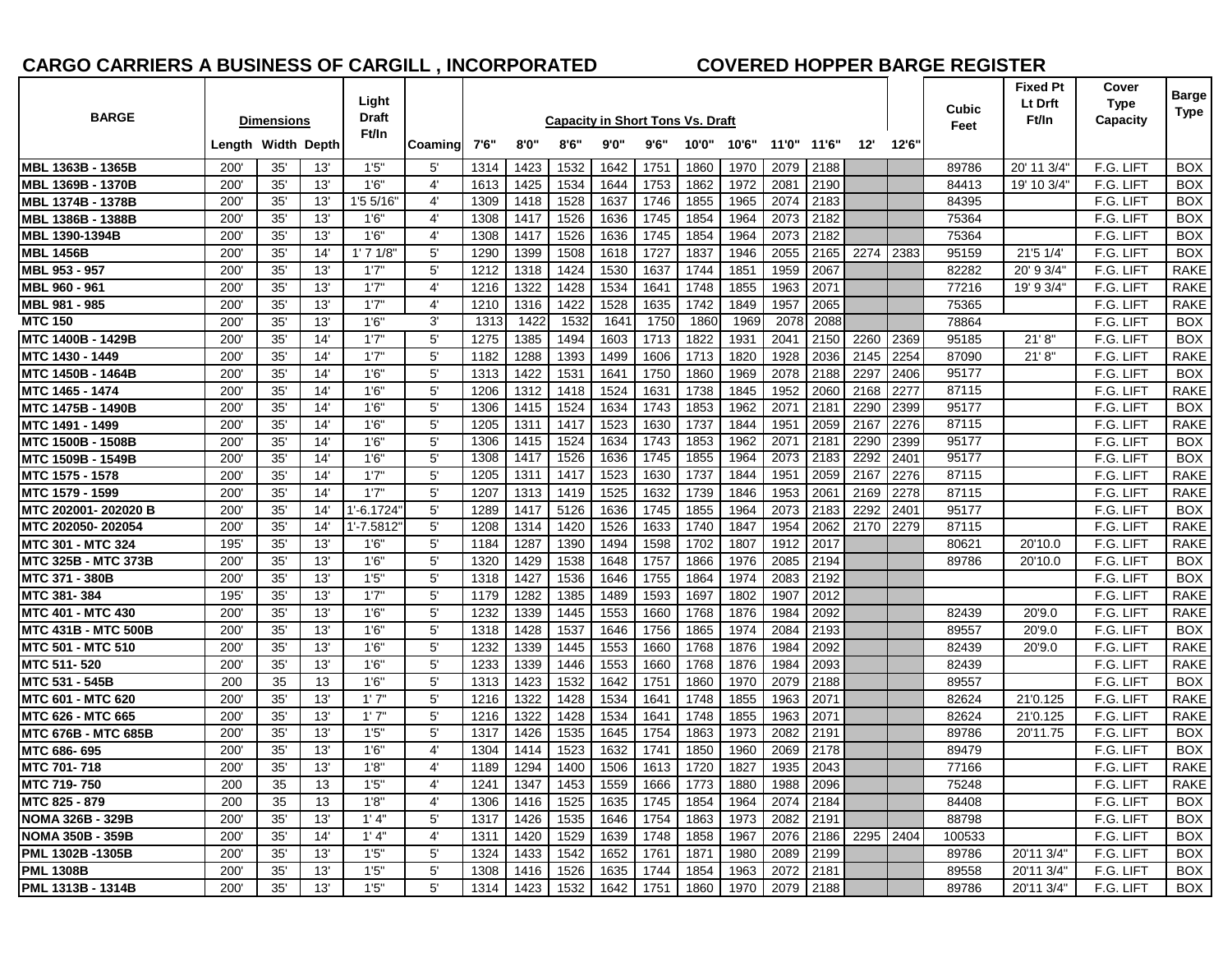# **CARGO CARRIERS A BUSINESS OF CARGILL , INCORPORATED COVERED HOPPER BARGE REGISTER**

| <b>BARGE</b>                            |                    | <b>Dimensions</b> |            | Light<br>Draft |                            | <b>Capacity in Short Tons Vs. Draft</b> |              |              |              |                                                              |              |              |              |              |                     |       | Cubic<br>Feet  | Fixed Pt<br>Lt Drft<br>Ft/In | Cover<br><b>Type</b><br>Capacity | <b>Barge</b><br>Type       |
|-----------------------------------------|--------------------|-------------------|------------|----------------|----------------------------|-----------------------------------------|--------------|--------------|--------------|--------------------------------------------------------------|--------------|--------------|--------------|--------------|---------------------|-------|----------------|------------------------------|----------------------------------|----------------------------|
|                                         | Length Width Depth |                   |            | Ft/In          | Coaming                    | 7'6"                                    | 8'0''        | 8'6''        | 9'0"         | 9'6''                                                        | 10'0"        | 10'6"        | 11'0" 11'6"  |              | 12"                 | 12'6' |                |                              |                                  |                            |
| MBL 1363B - 1365B                       | 200                | 35'               | 13'        | 1'5''          | 5'                         | 1314                                    | 1423         | 1532         | 1642         | 1751                                                         | 1860         | 1970         | 2079         | 2188         |                     |       | 89786          | 20' 11 3/4'                  | F.G. LIFT                        | <b>BOX</b>                 |
| MBL 1369B - 1370B                       | 200                | 35'               | 13'        | 1'6''          | $4^{\circ}$                | 1613                                    | 1425         | 1534         | 1644         | 1753                                                         | 1862         | 1972         | 2081         | 2190         |                     |       | 84413          | 19' 10 3/4'                  | F.G. LIFT                        | <b>BOX</b>                 |
| MBL 1374B - 1378B                       | 200                | 35'               | 13'        | 1'5 5/16'      | $4^{\circ}$                | 1309                                    | 1418         | 1528         | 1637         | 1746                                                         | 1855         | 1965         | 2074         | 2183         |                     |       | 84395          |                              | F.G. LIFT                        | <b>BOX</b>                 |
| MBL 1386B - 1388B                       | 200'               | 35'               | 13'        | 1'6''          | $4^{\circ}$                | 1308                                    | 1417         | 1526         | 1636         | 1745                                                         | 1854         | 1964         | 2073         | 2182         |                     |       | 75364          |                              | F.G. LIFT                        | <b>BOX</b>                 |
| MBL 1390-1394B                          | 200                | 35'               | 13'        | 1'6''          | $4^{\prime}$               | 1308                                    | 1417         | 1526         | 1636         | 1745                                                         | 1854         | 1964         | 2073         | 2182         |                     |       | 75364          |                              | F.G. LIFT                        | <b>BOX</b>                 |
| <b>MBL 1456B</b>                        | 200                | 35'               | 14'        | 1'71/8'        | 5'                         | 1290                                    | 1399         | 1508         | 1618         | 1727                                                         | 1837         | 1946         | 2055         | 2165         | 2274                | 2383  | 95159          | 21'5 1/4'                    | F.G. LIFT                        | <b>BOX</b>                 |
| MBL 953 - 957                           | 200'               | 35'               | 13'        | 1'7"           | 5'                         | 1212                                    | 1318         | 1424         | 1530         | 1637                                                         | 1744         | 1851         | 1959         | 2067         |                     |       | 82282          | 20' 9 3/4"                   | F.G. LIFT                        | <b>RAKE</b>                |
| MBL 960 - 961                           | 200                | 35'               | 13'        | 1'7''          | $4^{\prime}$               | 1216                                    | 1322         | 1428         | 1534         | 1641                                                         | 1748         | 1855         | 1963         | 2071         |                     |       | 77216          | 19' 9 3/4"                   | F.G. LIFT                        | <b>RAKE</b>                |
| MBL 981 - 985<br><b>MTC 150</b>         | 200<br>200         | 35'<br>35'        | 13'<br>13' | 1'7''<br>1'6'' | 4'<br>3'                   | 1210<br>1313                            | 1316<br>1422 | 1422<br>1532 | 1528<br>1641 | 1635<br>1750                                                 | 1742<br>1860 | 1849<br>1969 | 1957<br>2078 | 2065<br>2088 |                     |       | 75365<br>78864 |                              | F.G. LIFT<br>F.G. LIFT           | <b>RAKE</b><br><b>BOX</b>  |
| MTC 1400B - 1429B                       | 200                | 35'               | 14'        | 1'7''          | $5^{\circ}$                | 1275                                    | 1385         | 1494         | 1603         | 1713                                                         | 1822         | 1931         | 2041         | 2150         | 2260                | 2369  | 95185          | 21' 8''                      | F.G. LIFT                        | <b>BOX</b>                 |
| MTC 1430 - 1449                         | 200                | 35'               | 14'        | 1'7''          | 5'                         | 1182                                    | 1288         | 1393         | 1499         | 1606                                                         | 1713         | 1820         | 1928         | 2036         | 2145                | 2254  | 87090          | 21'8''                       | F.G. LIFT                        | <b>RAKE</b>                |
| MTC 1450B - 1464B                       | 200                | 35'               | 14'        | 1'6''          | $5^{\circ}$                | 1313                                    | 1422         | 1531         | 1641         | 1750                                                         | 1860         | 1969         | 2078         | 2188         | 2297                | 2406  | 95177          |                              | F.G. LIFT                        | <b>BOX</b>                 |
| MTC 1465 - 1474                         | 200                | 35'               | 14'        | 1'6''          | $5^{\circ}$                | 1206                                    | 1312         | 1418         | 1524         | 1631                                                         | 1738         | 1845         | 1952         | 2060         | 2168                | 2277  | 87115          |                              | F.G. LIFT                        | <b>RAKE</b>                |
| MTC 1475B - 1490B                       | 200                | 35'               | 14'        | 1'6''          | $5^{\prime}$               | 1306                                    | 1415         | 1524         | 1634         | 1743                                                         | 1853         | 1962         | 2071         | 218'         | 2290                | 2399  | 95177          |                              | F.G. LIFT                        | <b>BOX</b>                 |
| MTC 1491 - 1499                         | 200                | 35'               | 14'        | 1'6''          | 5'                         | 1205                                    | 1311         | 1417         | 1523         | 1630                                                         | 1737         | 1844         | 1951         | 2059         | 2167                | 2276  | 87115          |                              | F.G. LIFT                        | <b>RAKE</b>                |
| <b>MTC 1500B - 1508B</b>                | 200                | 35'               | 14'        | 1'6''          | $5^{\circ}$                | 1306                                    | 1415         | 1524         | 1634         | 1743                                                         | 1853         | 1962         | 2071         | 2181         | 2290                | 2399  | 95177          |                              | F.G. LIFT                        | <b>BOX</b>                 |
| MTC 1509B - 1549B                       | 200                | 35'               | 14'        | 1'6''          | 5'                         | 1308                                    | 1417         | 1526         | 1636         | 1745                                                         | 1855         | 1964         | 2073         | 2183         | 2292                | 2401  | 95177          |                              | F.G. LIFT                        | <b>BOX</b>                 |
| MTC 1575 - 1578                         | 200'               | 35'               | 14'        | 1'7''          | 5'                         | 1205                                    | 1311         | 1417         | 1523         | 1630                                                         | 1737         | 1844         | 1951         | 2059         | 2167                | 2276  | 87115          |                              | F.G. LIFT                        | <b>RAKE</b>                |
| MTC 1579 - 1599                         | 200                | 35'               | 14'        | 1'7''          | $5^{\circ}$                | 1207                                    | 1313         | 1419         | 1525         | 1632                                                         | 1739         | 1846         | 1953         | 2061         | 2169                | 2278  | 87115          |                              | F.G. LIFT                        | <b>RAKE</b>                |
| MTC 202001-202020 B                     | 200                | 35'               | 14'        | 1'-6.1724      | $5^{\prime}$               | 1289                                    | 1417         | 5126         | 1636         | 1745                                                         | 1855         | 1964         | 2073         | 2183         | 2292                | 2401  | 95177          |                              | F.G. LIFT                        | <b>BOX</b>                 |
| MTC 202050-202054                       | 200                | 35'               | 14'        | 1'-7.5812'     | 5'                         | 1208                                    | 1314         | 1420         | 1526         | 1633                                                         | 1740         | 1847         | 1954         | 2062         | 2170                | 2279  | 87115          |                              | F.G. LIFT                        | <b>RAKE</b>                |
| <b>MTC 301 - MTC 324</b>                | 195                | 35'               | 13'        | 1'6''          | $5^{\circ}$                | 1184                                    | 1287         | 1390         | 1494         | 1598                                                         | 1702         | 1807         | 1912         | 2017         |                     |       | 80621          | 20'10.0                      | F.G. LIFT                        | <b>RAKE</b>                |
| <b>MTC 325B - MTC 373B</b>              | 200                | 35'               | 13'        | 1'6''          | 5'                         | 1320                                    | 1429         | 1538         | 1648         | 1757                                                         | 1866         | 1976         | 2085         | 2194         |                     |       | 89786          | 20'10.0                      | F.G. LIFT                        | <b>BOX</b>                 |
| MTC 371 - 380B                          | 200'               | 35'               | 13'        | 1'5''          | $5^{\circ}$                | 1318                                    | 1427         | 1536         | 1646         | 1755                                                         | 1864         | 1974         | 2083         | 2192         |                     |       |                |                              | F.G. LIFT                        | <b>BOX</b>                 |
| MTC 381-384<br><b>MTC 401 - MTC 430</b> | 195<br>200         | 35'<br>35'        | 13'<br>13' | 1'7''<br>1'6'' | $5^{\circ}$<br>$5^{\circ}$ | 1179<br>1232                            | 1282<br>1339 | 1385<br>1445 | 1489<br>1553 | 1593<br>1660                                                 | 1697<br>1768 | 1802<br>1876 | 1907<br>1984 | 2012<br>2092 |                     |       | 82439          | 20'9.0                       | F.G. LIFT<br>F.G. LIFT           | <b>RAKE</b><br><b>RAKE</b> |
| <b>MTC 431B - MTC 500B</b>              | 200                | 35'               | 13'        | 1'6''          | $5^{\circ}$                | 1318                                    | 1428         | 1537         | 1646         | 1756                                                         | 1865         | 1974         | 2084         | 2193         |                     |       | 89557          | 20'9.0                       | F.G. LIFT                        | <b>BOX</b>                 |
| <b>MTC 501 - MTC 510</b>                | 200                | 35'               | 13'        | 1'6''          | 5'                         | 1232                                    | 1339         | 1445         | 1553         | 1660                                                         | 1768         | 1876         | 1984         | 2092         |                     |       | 82439          | 20'9.0                       | F.G. LIFT                        | <b>RAKE</b>                |
| MTC 511-520                             | 200                | 35'               | 13'        | 1'6''          | 5'                         | 1233                                    | 1339         | 1446         | 1553         | 1660                                                         | 1768         | 1876         | 1984         | 2093         |                     |       | 82439          |                              | F.G. LIFT                        | <b>RAKE</b>                |
| MTC 531 - 545B                          | 200                | 35                | 13         | 1'6''          | 5'                         | 1313                                    | 1423         | 1532         | 1642         | 1751                                                         | 1860         | 1970         | 2079         | 2188         |                     |       | 89557          |                              | F.G. LIFT                        | <b>BOX</b>                 |
| <b>MTC 601 - MTC 620</b>                | 200                | 35'               | 13'        | 1'7''          | $5^{\circ}$                | 1216                                    | 1322         | 1428         | 1534         | 1641                                                         | 1748         | 1855         | 1963         | 2071         |                     |       | 82624          | 21'0.125                     | F.G. LIFT                        | <b>RAKE</b>                |
| <b>MTC 626 - MTC 665</b>                | 200                | 35'               | 13'        | 1'7''          | $5^{\circ}$                | 1216                                    | 1322         | 1428         | 1534         | 1641                                                         | 1748         | 1855         | 1963         | 2071         |                     |       | 82624          | 21'0.125                     | F.G. LIFT                        | <b>RAKE</b>                |
| <b>MTC 676B - MTC 685B</b>              | 200                | 35'               | 13'        | 1'5''          | $5^{\circ}$                | 1317                                    | 1426         | 1535         | 1645         | 1754                                                         | 1863         | 1973         | 2082         | 2191         |                     |       | 89786          | 20'11.75                     | F.G. LIFT                        | <b>BOX</b>                 |
| MTC 686-695                             | 200                | 35'               | 13'        | 1'6''          | $4^{\circ}$                | 1304                                    | 1414         | 1523         | 1632         | 1741                                                         | 1850         | 1960         | 2069         | 2178         |                     |       | 89479          |                              | F.G. LIFT                        | <b>BOX</b>                 |
| MTC 701-718                             | 200                | 35'               | 13'        | 1'8''          | 4'                         | 1189                                    | 1294         | 1400         | 1506         | 1613                                                         | 1720         | 1827         | 1935         | 2043         |                     |       | 77166          |                              | F.G. LIFT                        | RAKE                       |
| MTC 719-750                             | 200                | 35                | 13         | 1'5''          | 4'                         |                                         |              |              |              | 1241   1347   1453   1559   1666   1773   1880   1988   2096 |              |              |              |              |                     |       | 75248          |                              | F.G. LIFT                        | RAKE                       |
| MTC 825 - 879                           | 200                | 35                | 13         | 1'8''          | 4'                         | 1306                                    | 1416         |              | 1525 1635    | 1745                                                         | 1854         | 1964         | 2074 2184    |              |                     |       | 84408          |                              | F.G. LIFT                        | BOX                        |
| <b>NOMA 326B - 329B</b>                 | 200'               | 35'               | 13'        | 1' 4"          | $5^{\circ}$                | 1317                                    | 1426         | 1535         | 1646         | 1754                                                         | 1863         | 1973         |              | 2082 2191    |                     |       | 88798          |                              | F.G. LIFT                        | BOX                        |
| <b>NOMA 350B - 359B</b>                 | 200'               | 35'               | 14'        | 1' 4"          | 4'                         | 1311                                    | 1420         | 1529         | 1639         | 1748                                                         | 1858         | 1967         |              |              | 2076 2186 2295 2404 |       | 100533         |                              | F.G. LIFT                        | BOX                        |
| PML 1302B -1305B                        | 200'               | 35'               | 13'        | 1'5''          | $5^{\prime}$               | 1324                                    | 1433         | 1542         | 1652         | 1761                                                         | 1871         | 1980         |              | 2089 2199    |                     |       | 89786          | 20'11 3/4"                   | F.G. LIFT                        | BOX                        |
| <b>PML 1308B</b>                        | 200'               | 35'               | 13'        | 1'5''          | $5^{\circ}$                | 1308                                    | 1416         | 1526         | 1635         | 1744                                                         | 1854         | 1963         | 2072 2181    |              |                     |       | 89558          | 20'11 3/4"                   | F.G. LIFT                        | BOX                        |
| PML 1313B - 1314B                       | 200'               | 35'               | 13'        | 1'5''          | $5^{\circ}$                |                                         | 1314 1423    | 1532         | 1642         | 1751                                                         | 1860         | 1970         |              | 2079 2188    |                     |       | 89786          | 20'11 3/4"                   | F.G. LIFT                        | BOX                        |